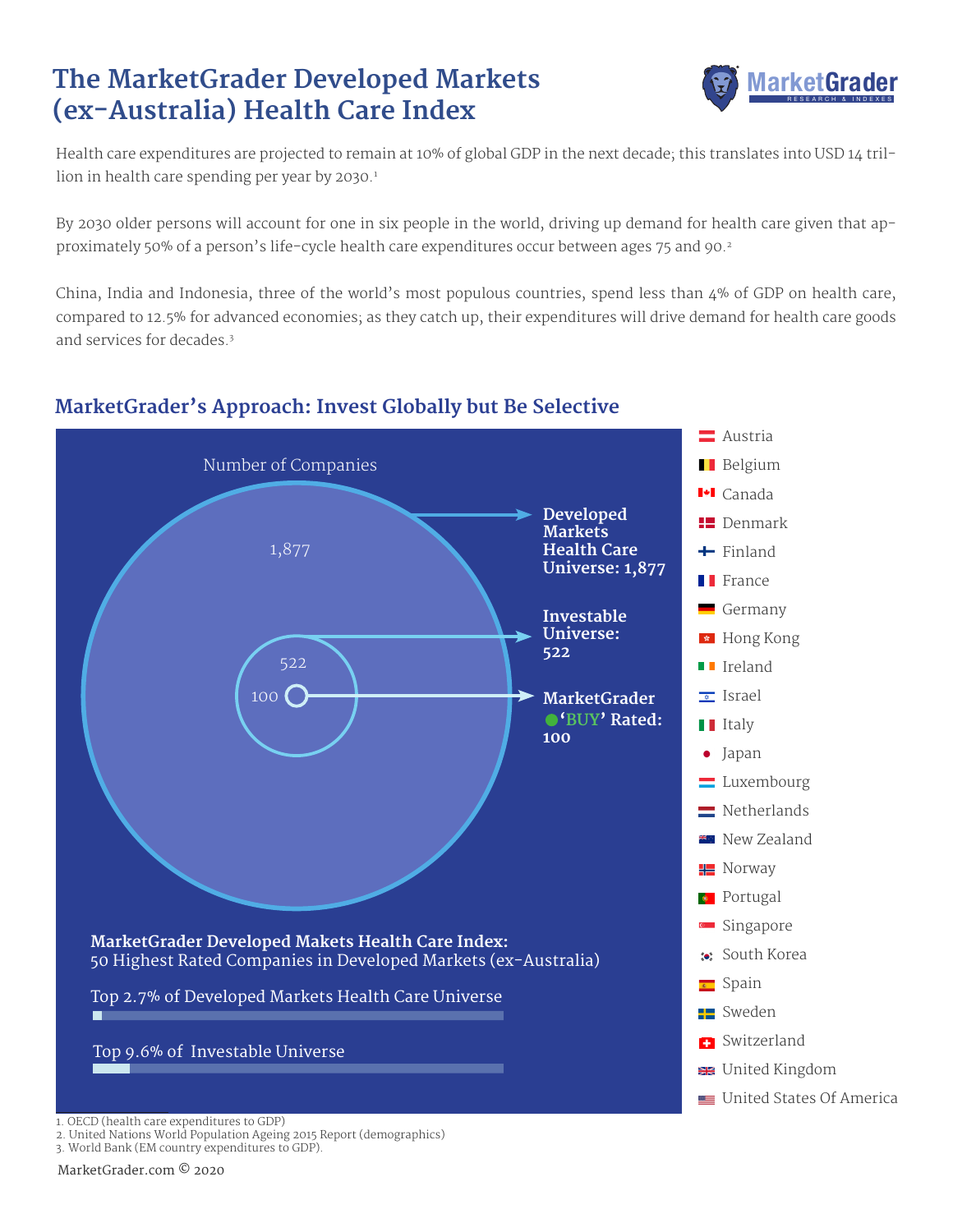## **The MarketGrader Developed Markets (ex-Australia) Health Care Index**



Health care expenditures are projected to remain at 10% of global GDP in the next decade; this translates into USD 14 trillion in health care spending per year by  $2030.<sup>1</sup>$ 

By 2030 older persons will account for one in six people in the world, driving up demand for health care given that approximately 50% of a person's life-cycle health care expenditures occur between ages 75 and 90.<sup>2</sup>

China, India and Indonesia, three of the world's most populous countries, spend less than 4% of GDP on health care, compared to 12.5% for advanced economies; as they catch up, their expenditures will drive demand for health care goods and services for decades.3



### **MarketGrader's Approach: Invest Globally but Be Selective**